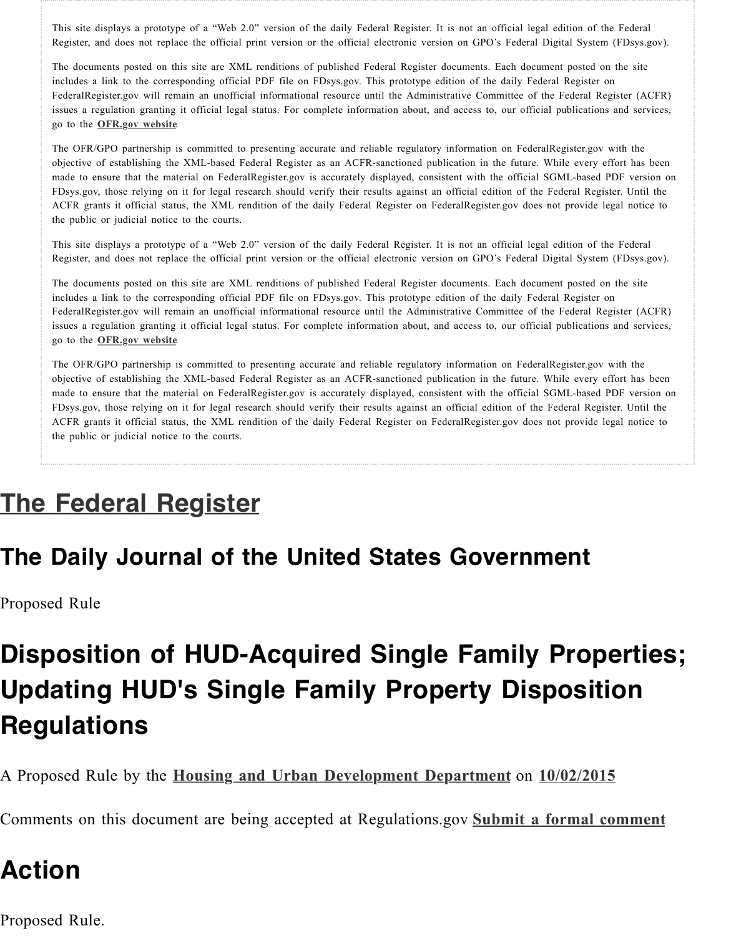The OFR/GPO partnership is committed to presenting accurate and reliable regulatory information on FederalRegister.gov with objective of establishing the XML-based Federal Register as an ACFR-sanctioned publication in the future. While every effor made to ensure that the material on FederalRegister.gov is accurately displayed, consistent with the official SGML-based PDF FDsys.gov, those relying on it for legal research should verify their results against an official edition of the Federal Register. ACFR grants it official status, the XML rendition of the daily Federal Register on FederalRegister.gov does not provide legal the public or judicial notice to the courts.

This site displays a prototype of a "Web 2.0" version of the daily Federal Register. It is not an official legal edition of the F Register, [and does not repla](http://www.ofr.gov/)ce the official print version or the official electronic version on GPO's Federal Digital System (F)

The documents posted on this site are XML renditions of published Federal Register documents. Each document posted on the includes a link to the corresponding official PDF file on FDsys.gov. This prototype edition of the daily Federal Register on FederalRegister.gov will remain an unofficial informational resource until the Administrative Committee of the Federal Regist issues a regulation granting it official legal status. For complete information about, and access to, our official publications an go to the **OFR.gov website**.

The OFR/GPO partnership is committed to presenting accurate and reliable regulatory information on FederalRegister.gov with objective of establishing the XML-based Federal Register as an ACFR-sanctioned publication in the future. While every effor made to ensure that the material on FederalRegister.gov is accurately displayed, consistent with the official SGML-based PDF FDsys.gov, those relying on it for legal research should verify their results against an official edition of the Federal Register. ACFR grants it official status, the XML rendition of the daily Federal Register on FederalRegister.gov does not provide legal the public or judicial notice to the courts.

## **The Federal Register**

go to the **OFR.gov website**.

### **The Daily Journal of the United States Government**

Proposed Rule

# **[Disposition of HUD-A](https://www.federalregister.gov/)cquired Single Family Prope Updating HUD's Single Family Property Dispositio Regulations**

A Proposed Rule by the **Housing and Urban Development Department** on **10/02/2015**

Comments on this document are being accepted at Regulations.gov **Submit a formal con** 

### **Action**

Proposed Rule.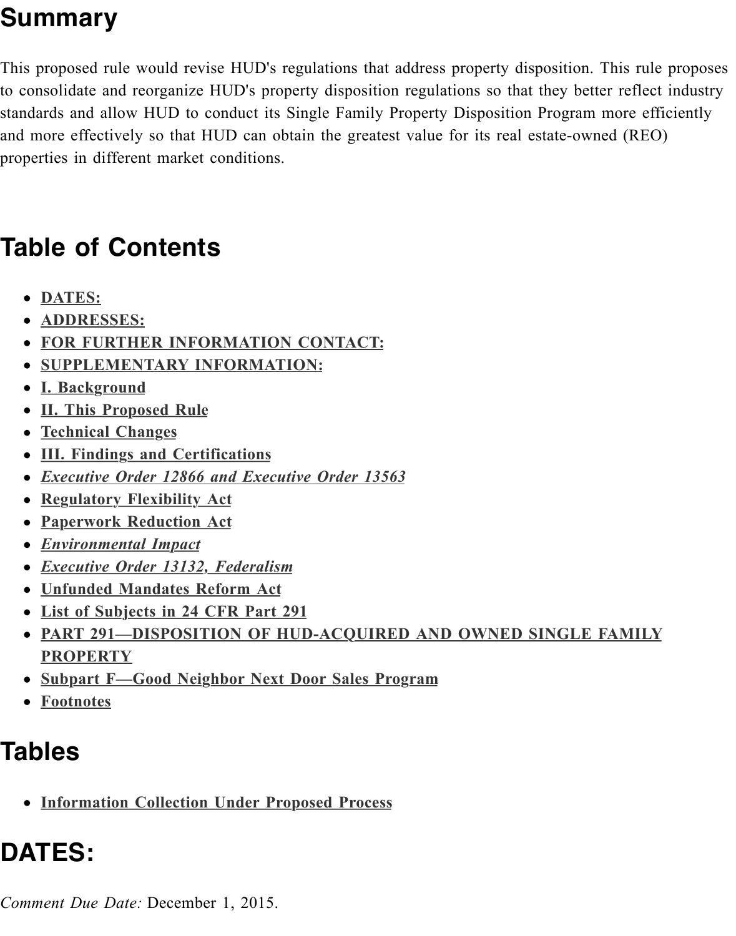and more effectively so that HUD can obtain the greatest value for its real estate-owned properties in different market conditions.

## **Table of Contents**

- **DATES:**
- **ADDRESSES:**
- **FOR FURTHER INFORMATION CONTACT:**
- **SUPPLEMENTARY INFORMATION:**
- **I. Background**
- **II. This Proposed Rule**
- **[Technica](https://www.federalregister.gov/articles/2015/10/02/2015-24837/disposition-of-hud-acquired-single-family-properties-updating-huds-single-family-property#h-4)l Changes**
- **[III. Findings a](https://www.federalregister.gov/articles/2015/10/02/2015-24837/disposition-of-hud-acquired-single-family-properties-updating-huds-single-family-property#addresses)nd Certifications**
- *[Executive Order 12866 and Executive Order 135](https://www.federalregister.gov/articles/2015/10/02/2015-24837/disposition-of-hud-acquired-single-family-properties-updating-huds-single-family-property#h-7)63*
- **[Regulatory Flexibility Act](https://www.federalregister.gov/articles/2015/10/02/2015-24837/disposition-of-hud-acquired-single-family-properties-updating-huds-single-family-property#h-8)**
- **[Paperwork Re](https://www.federalregister.gov/articles/2015/10/02/2015-24837/disposition-of-hud-acquired-single-family-properties-updating-huds-single-family-property#h-9)duction Act**
- *[Environmental Impact](https://www.federalregister.gov/articles/2015/10/02/2015-24837/disposition-of-hud-acquired-single-family-properties-updating-huds-single-family-property#h-10)*
- *[Executive Order 13](https://www.federalregister.gov/articles/2015/10/02/2015-24837/disposition-of-hud-acquired-single-family-properties-updating-huds-single-family-property#h-11)132, Federalism*
- **[Unfunded Mandates Reform Ac](https://www.federalregister.gov/articles/2015/10/02/2015-24837/disposition-of-hud-acquired-single-family-properties-updating-huds-single-family-property#h-12)t**
- **[List of Subjects in 24 CFR Part 291](https://www.federalregister.gov/articles/2015/10/02/2015-24837/disposition-of-hud-acquired-single-family-properties-updating-huds-single-family-property#h-13)**
- **PART 291-DISPOSITION OF HUD-ACQUIRED AND OWNED SINGLE FAM [PROPERTY](https://www.federalregister.gov/articles/2015/10/02/2015-24837/disposition-of-hud-acquired-single-family-properties-updating-huds-single-family-property#h-15)**
- **[Subpart F—Good Nei](https://www.federalregister.gov/articles/2015/10/02/2015-24837/disposition-of-hud-acquired-single-family-properties-updating-huds-single-family-property#h-16)ghbor Next Door Sales Program**
- **[Footnotes](https://www.federalregister.gov/articles/2015/10/02/2015-24837/disposition-of-hud-acquired-single-family-properties-updating-huds-single-family-property#h-17)**

## **Ta[bles](https://www.federalregister.gov/articles/2015/10/02/2015-24837/disposition-of-hud-acquired-single-family-properties-updating-huds-single-family-property#h-20)**

**[Information Collection Under Proposed Process](https://www.federalregister.gov/articles/2015/10/02/2015-24837/disposition-of-hud-acquired-single-family-properties-updating-huds-single-family-property#h-22)**

# **DATES:**

*Comment Due Date:* December 1, 2015.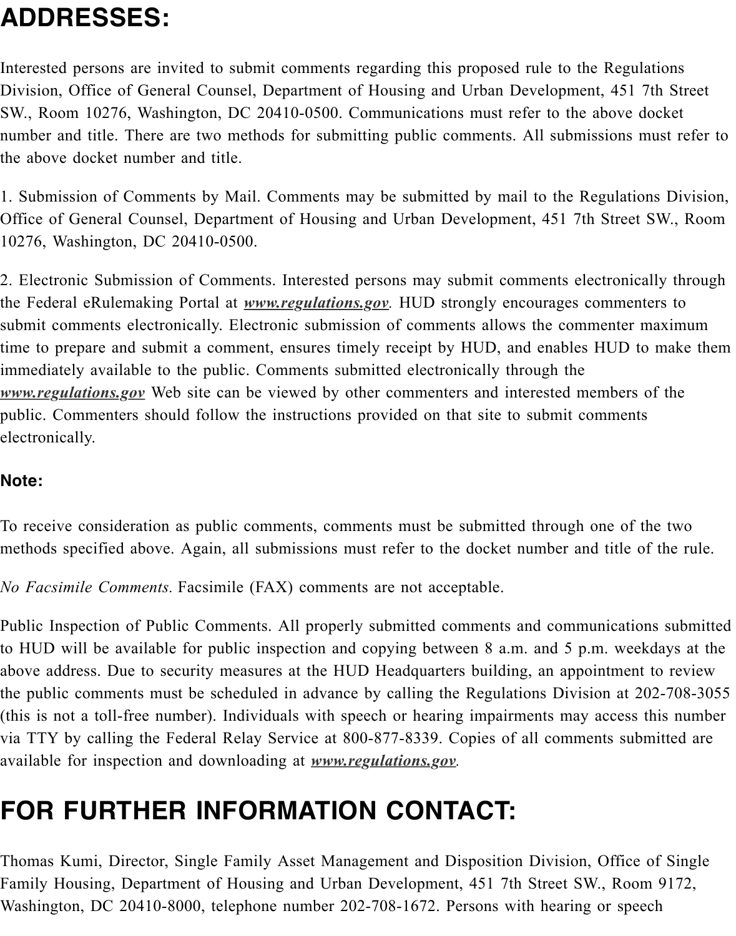number and title. There are two methods for submitting public comments. All submission the above docket number and title.

1. Submission of Comments by Mail. Comments may be submitted by mail to the Regulations Division Office of General Counsel, Department of Housing and Urban Development, 451 7th Stre 10276, Washington, DC 20410-0500.

2. Electronic Submission of Comments. Interested persons may submit comments electron the Federal eRulemaking Portal at *www.regulations.gov*. HUD strongly encourages comm submit comments electronically. Electronic submission of comments allows the commenter time to prepare and submit a comment, ensures timely receipt by HUD, and enables HUI immediately available to the public. Comments submitted electronically through the *www.regulations.gov* Web site can be viewed by other commenters and interested members public. Commenters should follow [the instructions provi](http://www.regulations.gov/)ded on that site to submit comme electronically.

#### **Note:**

[To receive considerat](http://www.regulations.gov/)ion as public comments, comments must be submitted through one of methods specified above. Again, all submissions must refer to the docket number and titl

*No Facsimile Comments.* Facsimile (FAX) comments are not acceptable.

Public Inspection of Public Comments. All properly submitted comments and communications of to HUD will be available for public inspection and copying between 8 a.m. and 5 p.m. w above address. Due to security measures at the HUD Headquarters building, an appointm the public comments must be scheduled in advance by calling the Regulations Division a (this is not a toll-free number). Individuals with speech or hearing impairments may acce via TTY by calling the Federal Relay Service at 800-877-8339. Copies of all comments s available for inspection and downloading at *www.regulations.gov.*

# **FOR FURTHER INFORMATION CONTACT:**

Thomas Kumi, Director, Single Family Asset Management and Disposition Division, Offi Family Housing, Department of Housing an[d Urban Development](http://www.regulations.gov/), 451 7th Street SW., R Washington, DC 20410-8000, telephone number 202-708-1672. Persons with hearing or s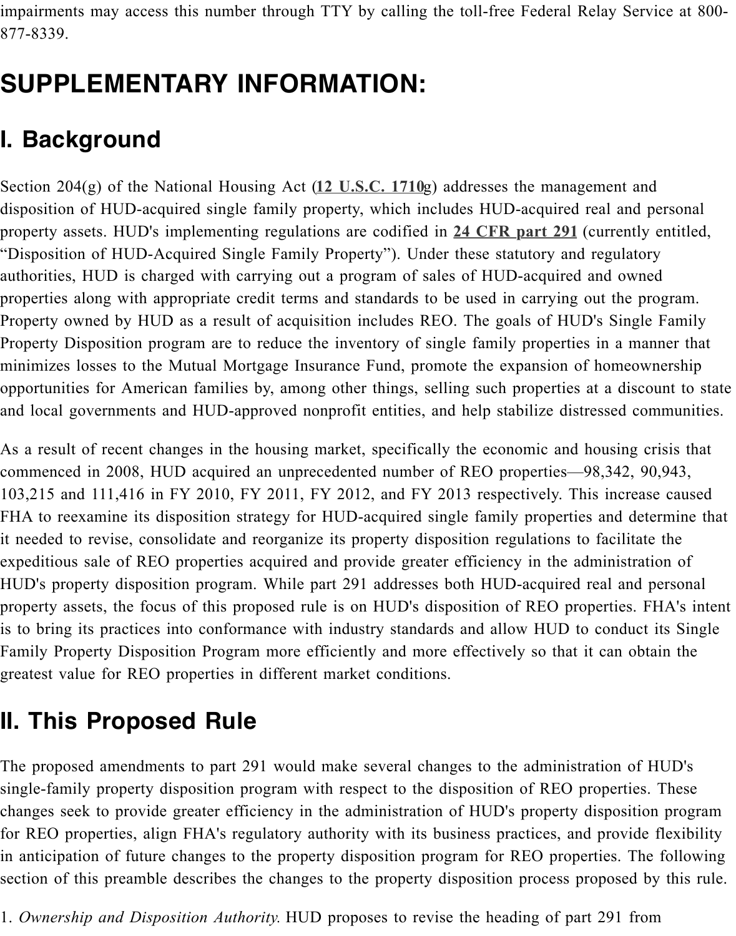#### **I. Background**

Section 204(g) of the National Housing Act (12 U.S.C. 1710g) addresses the management disposition of HUD-acquired single family property, which includes HUD-acquired real a property assets. HUD's implementing regulations are codified in **24 CFR part 291** (curre "Disposition of HUD-Acquired Single Family Property"). Under these statutory and regul authorities, HUD is charged with carrying out a program of sales of HUD-acquired and o properties along with appropriate credit terms and standards to be used in carrying out the Property owned by HUD as a result of acqui[sition includes R](http://api.fdsys.gov/link?collection=uscode&title=12&year=mostrecent§ion=1710&type=usc&link-type=html)EO. The goals of HUD's Si Property Disposition program are to reduce the inventory of single family properties in a minimizes losses to the Mutual Mortgage Insurance Fund, prom[ote the expansion o](https://www.federalregister.gov/select-citation/2015/10/02/24-CFR-291)f hom opportunities for American families by, among other things, selling such properties at a d and local governments and HUD-approved nonprofit entities, and help stabilize distressed

As a result of recent changes in the housing market, specifically the economic and housing commenced in 2008, HUD acquired an unprecedented number of REO properties—98,342 103,215 and 111,416 in FY 2010, FY 2011, FY 2012, and FY 2013 respectively. This inc FHA to reexamine its disposition strategy for HUD-acquired single family properties and it needed to revise, consolidate and reorganize its property disposition regulations to facil expeditious sale of REO properties acquired and provide greater efficiency in the administration of REO properties acquired and provide greater efficiency in the administration of REO HUD's property disposition program. While part 291 addresses both HUD-acquired real a property assets, the focus of this proposed rule is on HUD's disposition of REO propertie is to bring its practices into conformance with industry standards and allow HUD to cond Family Property Disposition Program more efficiently and more effectively so that it can greatest value for REO properties in different market conditions.

## **II. This Proposed Rule**

The proposed amendments to part 291 would make several changes to the administration single-family property disposition program with respect to the disposition of REO proper changes seek to provide greater efficiency in the administration of HUD's property dispose for REO properties, align FHA's regulatory authority with its business practices, and prov in anticipation of future changes to the property disposition program for REO properties. section of this preamble describes the changes to the property disposition process propose

1. *Ownership and Disposition Authority*. HUD proposes to revise the heading of part 291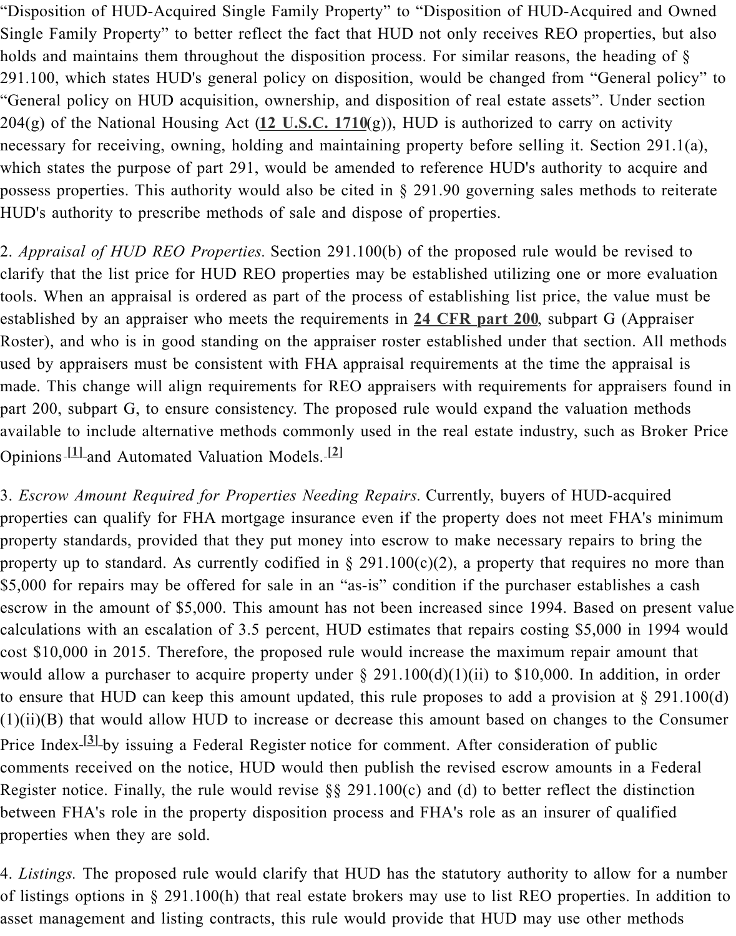204(g) of the National Housing Act (**12 U.S.C. 1710**(g)), HUD is authorized to carry on activity necessary for receiving, owning, holding and maintaining property before selling it. Secti which states the purpose of part 291, would be amended to reference HUD's authority to possess properties. This authority would also be cited in  $\S$  291.90 governing sales method HUD's authority to prescribe methods of sale and dispose of properties.

2. *Appraisal of HUD REO Properties.* [Section 291.10](http://api.fdsys.gov/link?collection=uscode&title=12&year=mostrecent§ion=1710&type=usc&link-type=html)0(b) of the proposed rule would be clarify that the list price for HUD REO properties may be established utilizing one or mo tools. When an appraisal is ordered as part of the process of establishing list price, the value established by an appraiser who meets the requirements in 24 CFR part 200, subpart G Roster), and who is in good standing on the appraiser roster established under that section. used by appraisers must be consistent with FHA appraisal requirements at the time the approach made. This change will align requirements for REO appraisers with requirements for approximate part 200, subpart G, to ensure consistency. The proposed rule would expand the valuation available to include alternative methods commonly used in [the real estate ind](https://www.federalregister.gov/select-citation/2015/10/02/24-CFR-200)ustry, such as Opinions **[1]** and Automated Valuation Models. **[2]**

3. *Escrow Amount Required for Properties Needing Repairs*. Currently, buyers of HUD-ac properties can qualify for FHA mortgage insurance even if the property does not meet FI property standards, provided that they put money into escrow to make necessary repairs t property up to standard. As currently codified in  $\S 291.100(c)(2)$ , a property that requires \$5,000 f[or re](https://www.federalregister.gov/articles/2015/10/02/2015-24837/disposition-of-hud-acquired-single-family-properties-updating-huds-single-family-property#footnote-1)pairs may be offered for sale in [an "](https://www.federalregister.gov/articles/2015/10/02/2015-24837/disposition-of-hud-acquired-single-family-properties-updating-huds-single-family-property#footnote-2)as-is" condition if the purchaser establis escrow in the amount of \$5,000. This amount has not been increased since 1994. Based on calculations with an escalation of 3.5 percent, HUD estimates that repairs costing \$5,000 cost \$10,000 in 2015. Therefore, the proposed rule would increase the maximum repair a would allow a purchaser to acquire property under  $\S 291.100(d)(1)(ii)$  to \$10,000. In add to ensure that HUD can keep this amount updated, this rule proposes to add a provision at  $(1)(ii)(B)$  that would allow HUD to increase or decrease this amount based on changes to Price Index-<sup>[3]</sup>-by issuing a Federal Register notice for comment. After consideration of p comments received on the notice, HUD would then publish the revised escrow amounts in Register notice. Finally, the rule would revise  $\S$ § 291.100(c) and (d) to better reflect the between FHA's role in the property disposition process and FHA's role as an insurer of q properties when they are sold.

4. *Listings*. [The](https://www.federalregister.gov/articles/2015/10/02/2015-24837/disposition-of-hud-acquired-single-family-properties-updating-huds-single-family-property#footnote-3) proposed rule would clarify that HUD has the statutory authority to alloy of listings options in § 291.100(h) that real estate brokers may use to list REO properties. asset management and listing contracts, this rule would provide that HUD may use other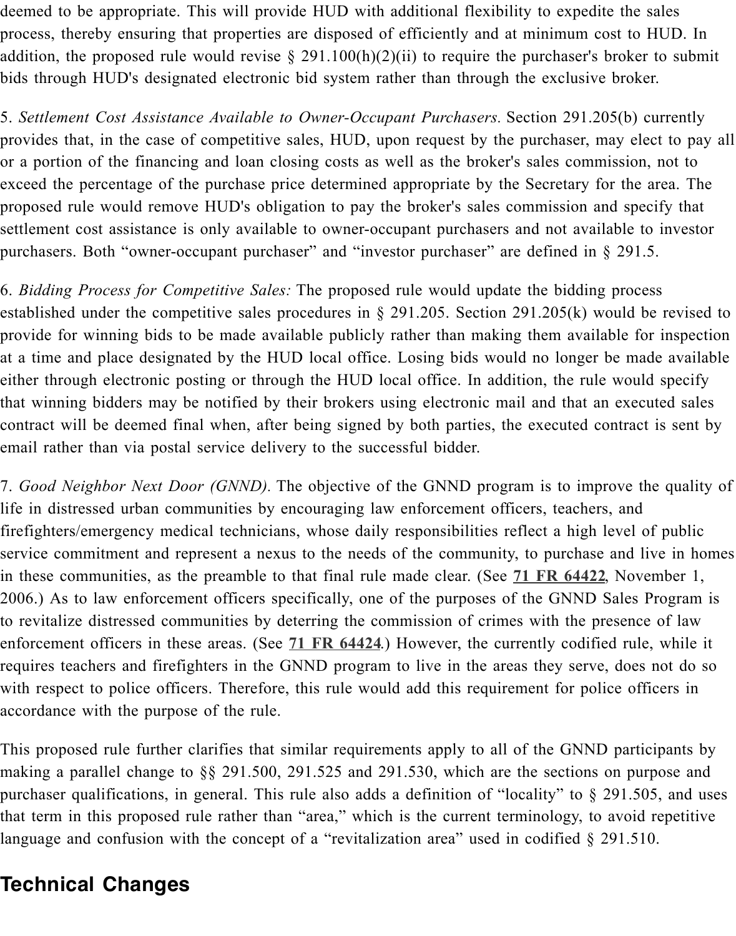provides that, in the case of competitive sales, HUD, upon request by the purchaser, may or a portion of the financing and loan closing costs as well as the broker's sales commiss exceed the percentage of the purchase price determined appropriate by the Secretary for t proposed rule would remove HUD's obligation to pay the broker's sales commission and settlement cost assistance is only available to owner-occupant purchasers and not available purchasers. Both "owner-occupant purchaser" and "investor purchaser" are defined in  $\S$  2

6. *Bidding Process for Competitive Sales:* The proposed rule would update the bidding pro established under the competitive sales procedures in  $\S$  291.205. Section 291.205(k) would provide for winning bids to be made available publicly rather than making them available at a time and place designated by the HUD local office. Losing bids would no longer be either through electronic posting or through the HUD local office. In addition, the rule w that winning bidders may be notified by their brokers using electronic mail and that an execution contract will be deemed final when, after being signed by both parties, the executed cont email rather than via postal service delivery to the successful bidder.

7. *Good Neighbor Next Door (GNND)*. The objective of the GNND program is to improv life in distressed urban communities by encouraging law enforcement officers, teachers, and firefighters/emergency medical technicians, whose daily responsibilities reflect a high lev service commitment and represent a nexus to the needs of the community, to purchase an in these communities, as the preamble to that final rule made clear. (See 71 FR 64422, N 2006.) As to law enforcement officers specifically, one of the purposes of the GNND Sal to revitalize distressed communities by deterring the commission of crimes with the prese enforcement officers in these areas. (See **71 FR 64424**.) However, the currently codified requires teachers and firefighters in the GNND program to live in the areas they serve, d with respect to police officers. Therefore, this rule would add this requir[ement for poli](https://www.federalregister.gov/citation/71-FR-64422)ce accordance with the purpose of the rule.

This proposed rule further clarifies that similar requirements apply to all of the GNND particle making a parallel change to  $\S$ § 291.500, [291.525 and 2](https://www.federalregister.gov/citation/71-FR-64424)91.530, which are the sections on purchaser qualifications, in general. This rule also adds a definition of "locality" to  $\S$  291. that term in this proposed rule rather than "area," which is the current terminology, to av language and confusion with the concept of a "revitalization area" used in codified  $\S$  291.

#### **Technical Changes**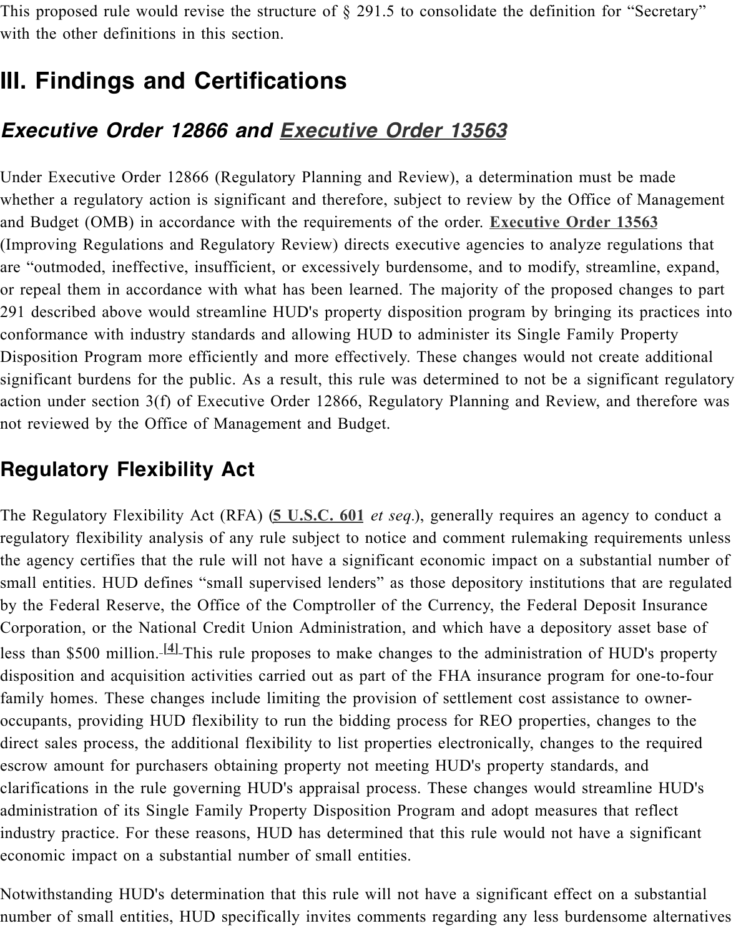#### *Executive Order 12866 and Executive Order 13563*

Under Executive Order 12866 (Regulatory Planning and Review), a determination must b whether a regulatory action is significant and therefore, subject to review by the Office of and Budget (OMB) in accordance with the requirements of the order. **Executive Order 1** (Improving Regulations and Regulatory Review) directs executive agencies to analyze reg are "outmoded, ineffective, insufficient, [or excessively burdensome, and](https://www.federalregister.gov/executive-order/13563) to modify, strean or repeal them in accordance with what has been learned. The majority of the proposed or 291 described above would streamline HUD's property disposition program by bringing it conformance with industry standards and allowing HUD to administer its Single Family I Disposition Program more efficiently and more effectively. These changes would not crea significant burdens for the public. As a result, this rule was determined to not be a signif action under section 3(f) of Executive Order 12866, Regulatory Planning and Review, and not reviewed by the Office of Management and Budget.

#### **Regulatory Flexibility Act**

The Regulatory Flexibility Act (RFA) (5 U.S.C. 601 *et seq.*), generally requires an agency regulatory flexibility analysis of any rule subject to notice and comment rulemaking requ the agency certifies that the rule will not have a significant economic impact on a substantial number of  $\alpha$ small entities. HUD defines "small supervised lenders" as those depository institutions th by the Federal Reserve, the Office of the Comptroller of the Currency, the Federal Depos Corporation, or the National Credit Union Administration, and which have a depository a less than \$500 million.<sup>[4]</sup> This rule pr[oposes to mak](http://api.fdsys.gov/link?collection=uscode&title=5&year=mostrecent§ion=601&type=usc&link-type=html)e changes to the administration of HU disposition and acquisition activities carried out as part of the FHA insurance program fo family homes. These changes include limiting the provision of settlement cost assistance occupants, providing HUD flexibility to run the bidding process for REO properties, chan direct sales process, the additional flexibility to list properties electronically, changes to t escrow amount for pu[rchas](https://www.federalregister.gov/articles/2015/10/02/2015-24837/disposition-of-hud-acquired-single-family-properties-updating-huds-single-family-property#footnote-4)ers obtaining property not meeting HUD's property standards, clarifications in the rule governing HUD's appraisal process. These changes would stream administration of its Single Family Property Disposition Program and adopt measures tha industry practice. For these reasons, HUD has determined that this rule would not have a economic impact on a substantial number of small entities.

Notwithstanding HUD's determination that this rule will not have a significant effect on a number of small entities, HUD specifically invites comments regarding any less burdensome alternatives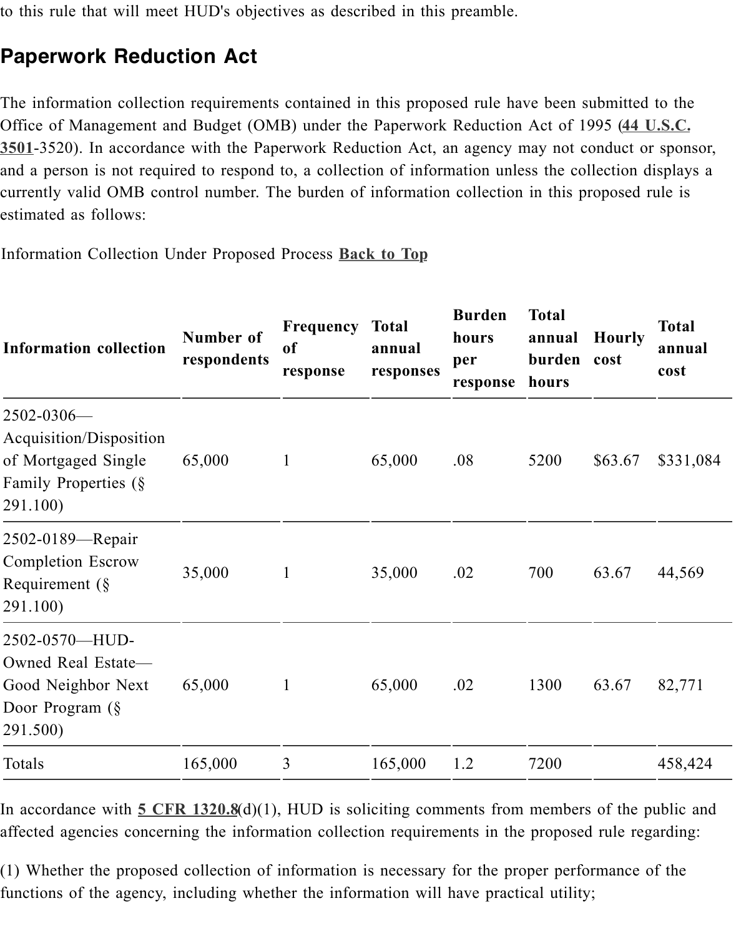Office of Management and Budget (OMB) under the Paperwork Reduction Act of 1995 (**44 U.S.C. 3501**-3520). In accordance with the Paperwork Reduction Act, an agency may not conduct and a person is not required to respond to, a collection of information unless the collection currently valid OMB control number. The burden of information collection in this propos estimated as follows:

[Information Collection Under Proposed Process](http://api.fdsys.gov/link?collection=uscode&title=44&year=mostrecent§ion=3501&type=usc&link-type=html) **Back to Top**

| <b>Information collection</b>                                                                         | Number of<br>respondents | Frequency<br><sub>of</sub><br>response | <b>Total</b><br>annual<br>responses | <b>Burden</b><br>hours<br>per<br>response | <b>Total</b><br>annual<br>burden cost<br>hours | Hou   |
|-------------------------------------------------------------------------------------------------------|--------------------------|----------------------------------------|-------------------------------------|-------------------------------------------|------------------------------------------------|-------|
| $2502 - 0306$ —<br>Acquisition/Disposition<br>of Mortgaged Single<br>Family Properties (§<br>291.100) | 65,000                   | $\mathbf{1}$                           | 65,000                              | .08                                       | 5200                                           | \$63. |
| 2502-0189—Repair<br><b>Completion Escrow</b><br>Requirement $(\S$<br>291.100)                         | 35,000                   | $\mathbf{1}$                           | 35,000                              | .02                                       | 700                                            | 63.6  |
| 2502-0570-HUD-<br>Owned Real Estate-<br>Good Neighbor Next<br>Door Program (§<br>291.500)             | 65,000                   | $\mathbf{1}$                           | 65,000                              | .02                                       | 1300                                           | 63.6  |
| Totals                                                                                                | 165,000                  | $\overline{3}$                         | 165,000                             | 1.2                                       | 7200                                           |       |

In accordance with  $5 \text{ CFR } 1320.8(d)(1)$ , HUD is soliciting comments from members of the public and public and public and public and public and public and public and public and public and public and public and public and p affected agencies concerning the information collection requirements in the proposed rule

 $(1)$  Whether the proposed collection of information is necessary for the proper performan functions of the agency, including whether the information will have practical utility;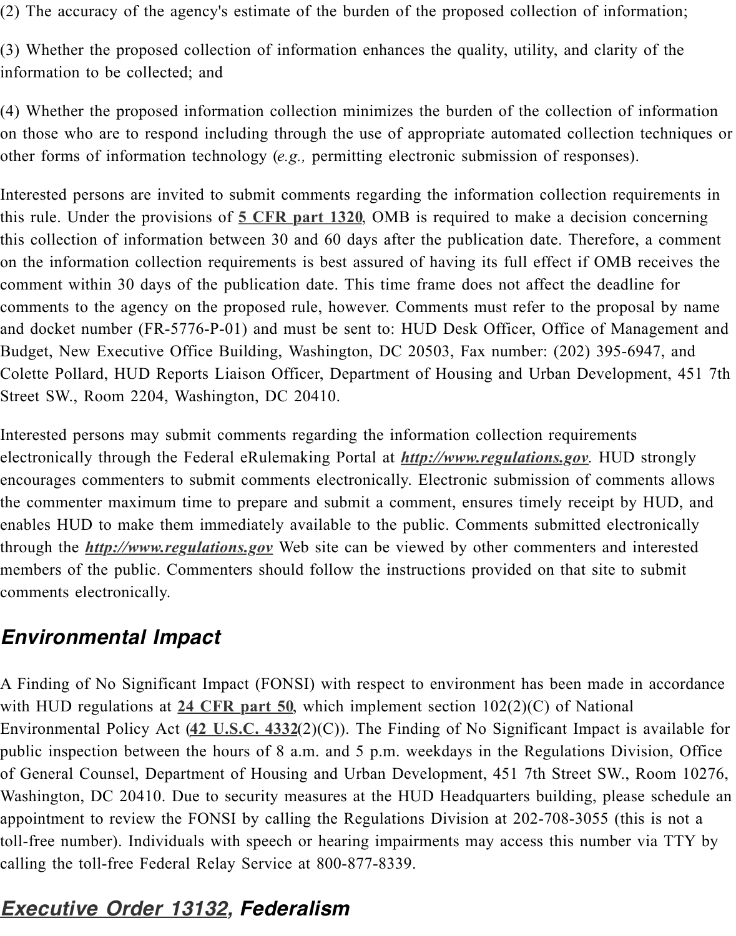on those who are to respond including through the use of appropriate automated collection other forms of information technology (*e.g.*, permitting electronic submission of response

Interested persons are invited to submit comments regarding the information collection re this rule. Under the provisions of **5 CFR part 1320**, OMB is required to make a decision this collection of information between 30 and 60 days after the publication date. Therefore on the information collection requirements is best assured of having its full effect if OMI comment within 30 days of the publication date. This time frame does not affect the dead comments to the agency on the proposed rule, however. Comments must refer to the prop and docket number (FR-5776-P-01) and must be sent to: HUD Desk Officer, Office of M Budget, New Executive Office B[uilding, Washington](https://www.federalregister.gov/select-citation/2015/10/02/5-CFR-1320), DC 20503, Fax number: (202) 395-Colette Pollard, HUD Reports Liaison Officer, Department of Housing and Urban Develo Street SW., Room 2204, Washington, DC 20410.

Interested persons may submit comments regarding the information collection requirement electronically through the Federal eRulemaking Portal at *http://www.regulations.gov*. HU encourages commenters to submit comments electronically. Electronic submission of com the commenter maximum time to prepare and submit a comment, ensures timely receipt by enables HUD to make them immediately available to the public. Comments submitted ele through the *http://www.regulations.gov* Web site can be viewed by other commenters and members of the public. Commenters should follow the in[structions provided on that](http://www.regulations.gov/) site to comments electronically.

#### *Environmental Impact*

A Finding o[f No Significant Impact \(FO](http://www.regulations.gov/)NSI) with respect to environment has been made with HUD regulations at 24 CFR part 50, which implement section  $102(2)(C)$  of National Environmental Policy Act  $(42 \text{ U.S.C. } 4332(2)(C))$ . The Finding of No Significant Impact public inspection between the hours of 8 a.m. and 5 p.m. weekdays in the Regulations D of General Counsel, Department of Housing and Urban Development, 451 7th Street SW. Washington, DC 20410. Due to security measures at the HUD Headquarters building, ple appointment to review the FONSI by calling the Regulations Division at 202-708-3055 (to toll-free number). Individ[uals with speech](https://www.federalregister.gov/select-citation/2015/10/02/24-CFR-50) or hearing impairments may access this number calling the toll-free Federa[l Relay Service](http://api.fdsys.gov/link?collection=uscode&title=42&year=mostrecent§ion=4332&type=usc&link-type=html) at 800-877-8339.

#### *Executive Order 13132, Federalism*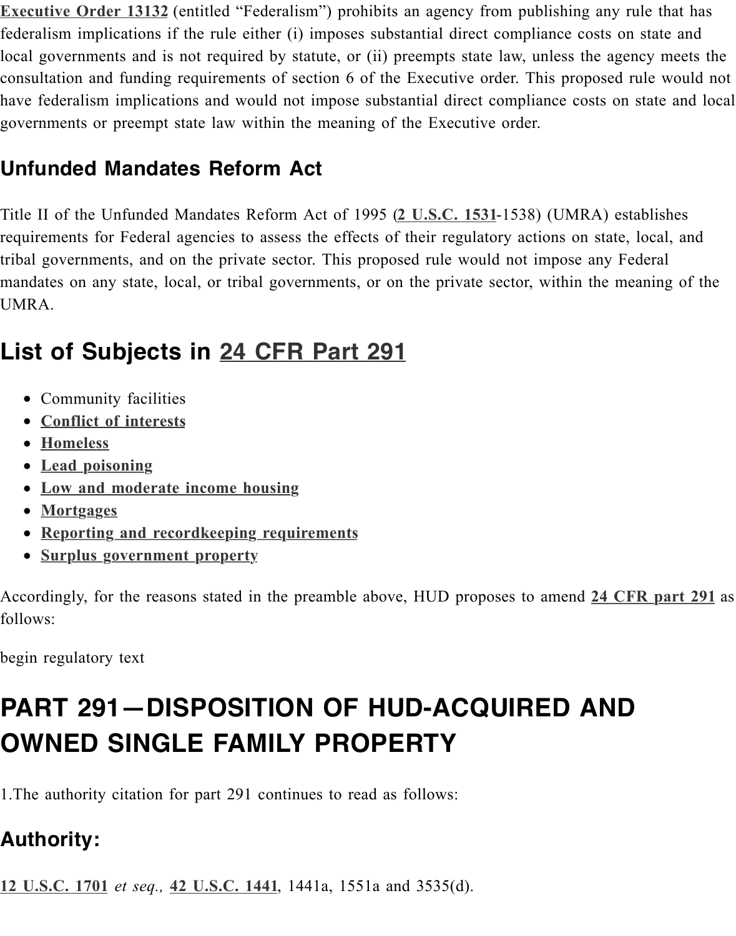#### **Unfunded Mandates Reform Act**

Title II of the Unfunded Mandates Reform Act of 1995 (2 U.S.C. 1531-1538) (UMRA) established and the Unfunded Mandates Reform Act of 1995 (2 U.S.C. 1531-1538) (UMRA) requirements for Federal agencies to assess the effects of their regulatory actions on state tribal governments, and on the private sector. This proposed rule would not impose any F mandates on any state, local, or tribal governments, or on the private sector, within the m UMRA.

## **List of Subjects in 24 CFR Part 29[1](http://api.fdsys.gov/link?collection=uscode&title=2&year=mostrecent§ion=1531&type=usc&link-type=html)**

- Community facilities
- **Conflict of interests**
- **Homeless**
- **Lead poisoning**
- **Low and moderate inco[me housing](https://www.federalregister.gov/select-citation/2015/10/02/24-CFR-291)**
- **Mortgages**
- **Reporting and recordkeeping requirements**
- **[Surplus government](https://www.federalregister.gov/topics/conflict-interests) property**

Acco[rdingly, for the re](https://www.federalregister.gov/topics/lead-poisoning)asons stated in the preamble above, HUD proposes to amend 24 C follo[ws:](https://www.federalregister.gov/topics/low-moderate-income-housing)

begin [regulatory text](https://www.federalregister.gov/topics/reporting-recordkeeping-requirements)

# **PART 291-DISPOSITION OF HUD-ACQUIRED [AND](https://www.federalregister.gov/select-citation/2015/10/02/24-CFR-291) OWNED SINGLE FAMILY PROPERTY**

1.The authority citation for part 291 continues to read as follows:

#### **Authority:**

**12 U.S.C. 1701** *et seq.,* **42 U.S.C. 1441**, 1441a, 1551a and 3535(d).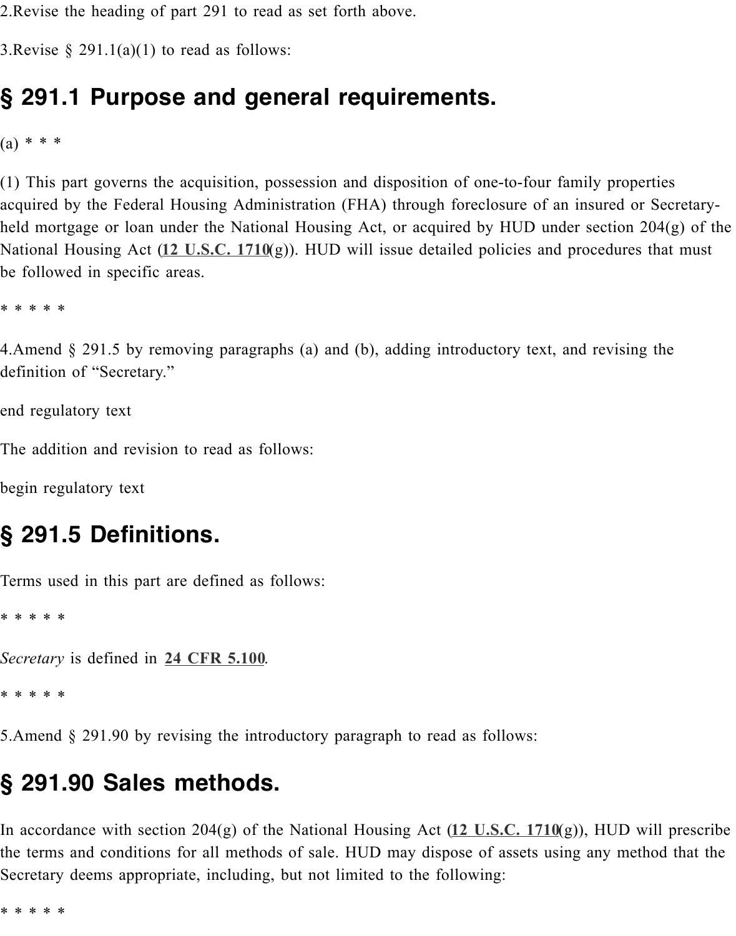$(a) * * * *$ 

(1) This part governs the acquisition, possession and disposition of one-to-four family pro acquired by the Federal Housing Administration (FHA) through foreclosure of an insured held mortgage or loan under the National Housing Act, or acquired by HUD under section National Housing Act (12 U.S.C. 1710(g)). HUD will issue detailed policies and procedure be followed in specific areas.

\* \* \* \* \*

4. Amend  $\S$  291.5 by removing paragraphs (a) and (b), adding introductory text, and revis definition of "Secretar[y."](http://api.fdsys.gov/link?collection=uscode&title=12&year=mostrecent§ion=1710&type=usc&link-type=html)

end regulatory text

The addition and revision to read as follows:

begin regulatory text

#### **§ 291.5 Definitions.**

Terms used in this part are defined as follows:

\* \* \* \* \*

*Secretary* is defined in **24 CFR 5.100**.

\* \* \* \* \*

5.Amend § 291.90 by revising the introductory paragraph to read as follows:

#### **§ 291.90 Sale[s methods](https://www.federalregister.gov/select-citation/2015/10/02/24-CFR-5.100).**

In accordance with section 204(g) of the National Housing Act (12 U.S.C. 1710(g)), HUI the terms and conditions for all methods of sale. HUD may dispose of assets using any n Secretary deems appropriate, including, but not limited to the following:

\* \* \* \* \*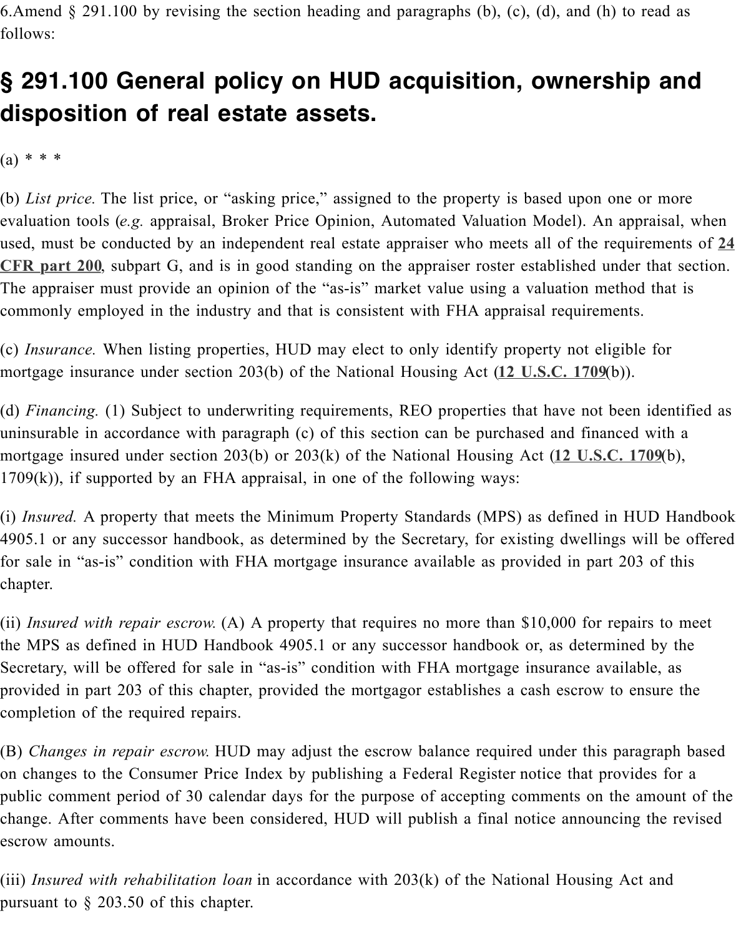$(a) * * * *$ 

(b) *List price*. The list price, or "asking price," assigned to the property is based upon on evaluation tools (e.g. appraisal, Broker Price Opinion, Automated Valuation Model). An a used, must be conducted by an independent real estate appraiser who meets all of the req **CFR part 200**, subpart G, and is in good standing on the appraiser roster established under The appraiser must provide an opinion of the "as-is" market value using a valuation method commonly employed in the industry and that is consistent with FHA appraisal requirement

(c) *Insurance*. When listing properties, HUD may elect to only identify property not eligi [mortgage insurance under section 203\(b\) of the National Housing Act \(](https://www.federalregister.gov/select-citation/2015/10/02/24-CFR-200)**12 U.S.C. 1709**(b)).

(d) *Financing.* (1) Subject to underwriting requirements, REO properties that have not be uninsurable in accordance with paragraph  $(c)$  of this section can be purchased and finance mortgage insured under section 203(b) or 203(k) of the National Housing Act (12 U.S.C.  $1709(k)$ ), if supported by an FHA appraisal, in one of the following ways:

(i) *Insured*. A property that meets the Minimum Property Standards (MPS) as defined in 4905.1 or any successor handbook, as determined by the Secretary, for existing dwellings for sale in "as-is" condition with FHA mortgage insurance available as provided in part 2 chapter.

(ii) *Insured with repair escrow.* (A) A property that requires no more than \$10,000 for rep the MPS as defined in HUD Handbook 4905.1 or any successor handbook or, as determined Secretary, will be offered for sale in "as-is" condition with FHA mortgage insurance avai provided in part 203 of this chapter, provided the mortgagor establishes a cash escrow to completion of the required repairs.

(B) *Changes in repair escrow.* HUD may adjust the escrow balance required under this paragraph based of the base on changes to the Consumer Price Index by publishing a Federal Register notice that prov public comment period of 30 calendar days for the purpose of accepting comments on the change. After comments have been considered, HUD will publish a final notice announci escrow amounts.

(iii) *Insured with rehabilitation loan* in accordance with  $203(k)$  of the National Housing A pursuant to § 203.50 of this chapter.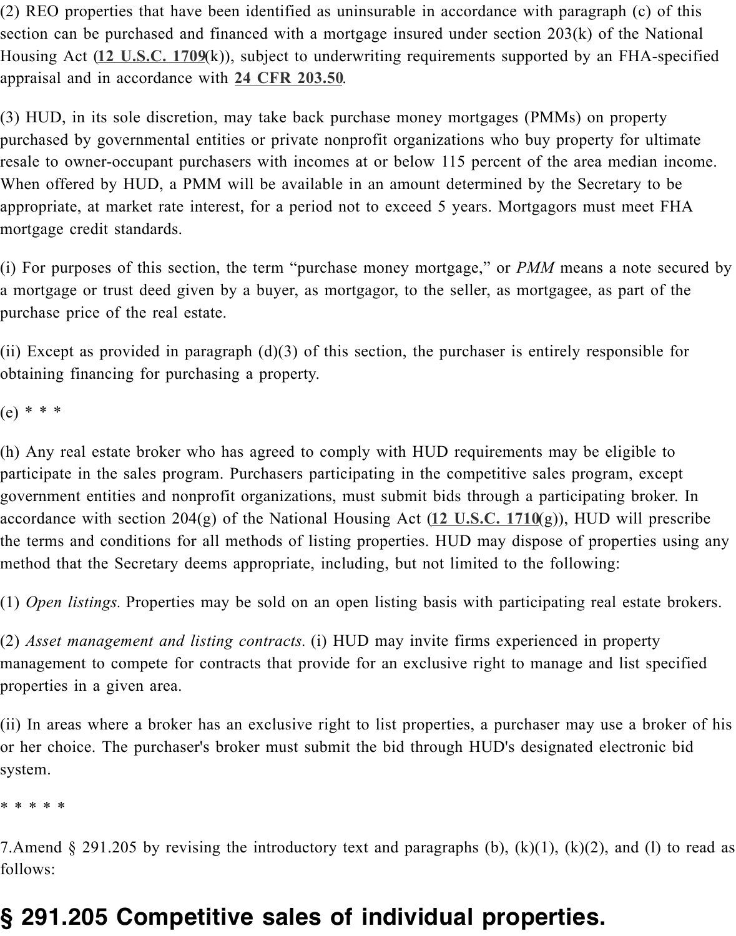purchased by governmental entities or private nonprofit organizations who buy property for resale to owner-occupant purchasers with incomes at or below 115 percent of the area me When offered [by HUD, a PM](http://api.fdsys.gov/link?collection=uscode&title=12&year=mostrecent§ion=1709&type=usc&link-type=html)M will be available in an amount determined by the Secretary appropriate, at market rate intere[st, for a period n](https://www.federalregister.gov/select-citation/2015/10/02/24-CFR-203.50)ot to exceed 5 years. Mortgagors must f mortgage credit standards.

(i) For purposes of this section, the term "purchase money mortgage," or *PMM* means a a mortgage or trust deed given by a buyer, as mortgagor, to the seller, as mortgagee, as part of the seller, as mortgagee, as part of the seller. purchase price of the real estate.

(ii) Except as provided in paragraph  $(d)(3)$  of this section, the purchaser is entirely responsible for  $f$ obtaining financing for purchasing a property.

(e) \* \* \*

(h) Any real estate broker who has agreed to comply with HUD requirements may be elighted participate in the sales program. Purchasers participating in the competitive sales progran government entities and nonprofit organizations, must submit bids through a participating accordance with section 204(g) of the National Housing Act (12 U.S.C. 1710(g)), HUD w the terms and conditions for all methods of listing properties. HUD may dispose of prope method that the Secretary deems appropriate, including, but not limited to the following:

(1) *Open listings*. Properties may be sold on an open listing basis with participating real

(2) *Asset management and listing contracts.* (i) HUD may in[vite firms experie](http://api.fdsys.gov/link?collection=uscode&title=12&year=mostrecent§ion=1710&type=usc&link-type=html)nced in pro management to compete for contracts that provide for an exclusive right to manage and l properties in a given area.

(ii) In areas where a broker has an exclusive right to list properties, a purchaser may use or her choice. The purchaser's broker must submit the bid through HUD's designated electronic bid system.

\* \* \* \* \*

7. Amend § 291.205 by revising the introductory text and paragraphs (b), (k)(1), (k)(2), and  $\ell$ follows:

## **§ 291.205 Competitive sales of individual properties.**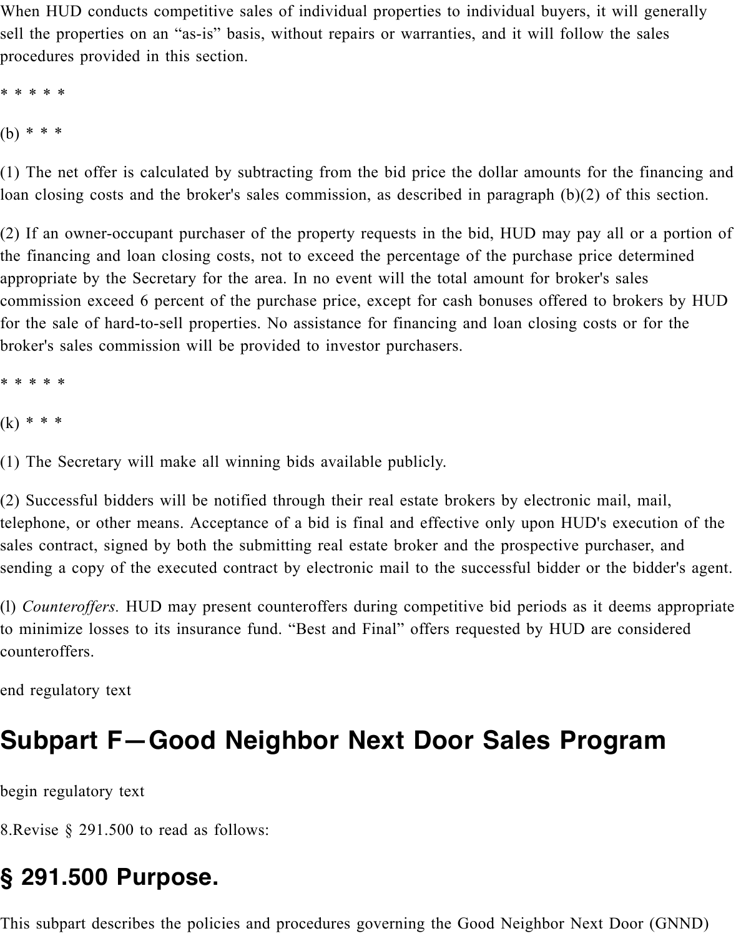When HUD conducts competitive sales of individual properties to individual buyers, it will generally sell the properties on an "as-is" basis, without repairs or warranties, and it will follow the sales procedures provided in this section.

\* \* \* \* \* (b) \* \* \*

(1) The net offer is calculated by subtracting from the bid price the dollar amounts for the financing and loan closing costs and the broker's sales commission, as described in paragraph (b)(2) of this section.

(2) If an owner-occupant purchaser of the property requests in the bid, HUD may pay all or a portion of the financing and loan closing costs, not to exceed the percentage of the purchase price determined appropriate by the Secretary for the area. In no event will the total amount for broker's sales commission exceed 6 percent of the purchase price, except for cash bonuses offered to brokers by HUD for the sale of hard-to-sell properties. No assistance for financing and loan closing costs or for the broker's sales commission will be provided to investor purchasers.

\* \* \* \* \*

 $(k) * * *$ 

(1) The Secretary will make all winning bids available publicly.

(2) Successful bidders will be notified through their real estate brokers by electronic mail, mail, telephone, or other means. Acceptance of a bid is final and effective only upon HUD's execution of the sales contract, signed by both the submitting real estate broker and the prospective purchaser, and sending a copy of the executed contract by electronic mail to the successful bidder or the bidder's agent.

(l) *Counteroffers.* HUD may present counteroffers during competitive bid periods as it deems appropriate to minimize losses to its insurance fund. "Best and Final" offers requested by HUD are considered counteroffers.

end regulatory text

# **Subpart F—Good Neighbor Next Door Sales Program**

begin regulatory text

8.Revise § 291.500 to read as follows:

# **§ 291.500 Purpose.**

This subpart describes the policies and procedures governing the Good Neighbor Next Door (GNND)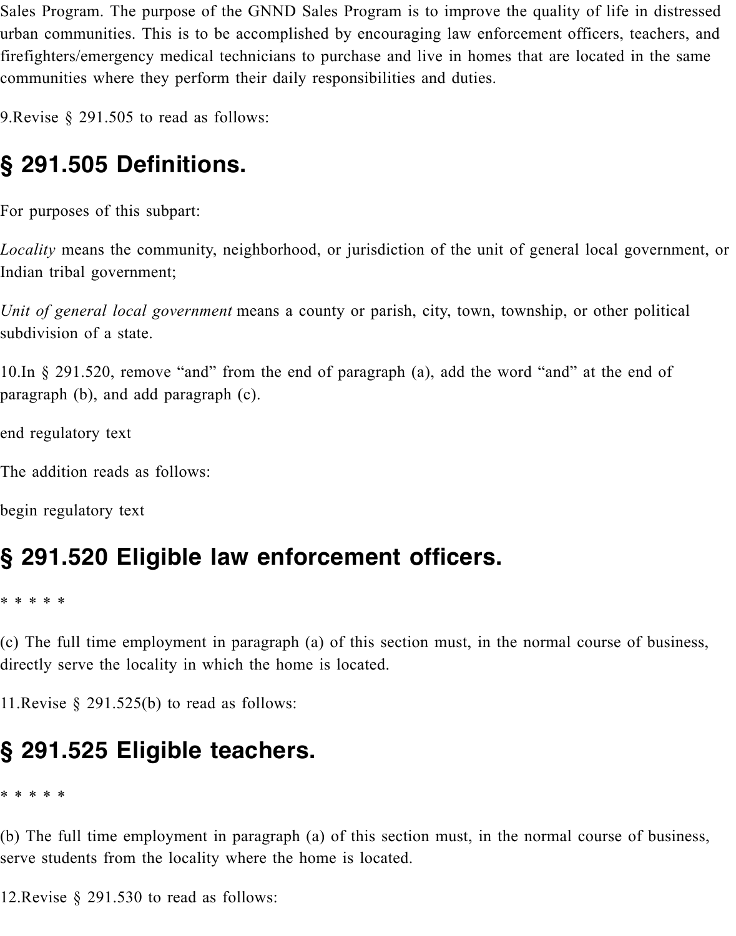Sales Program. The purpose of the GNND Sales Program is to improve the quality of life in distressed urban communities. This is to be accomplished by encouraging law enforcement officers, teachers, and firefighters/emergency medical technicians to purchase and live in homes that are located in the same communities where they perform their daily responsibilities and duties.

9.Revise § 291.505 to read as follows:

## **§ 291.505 Definitions.**

For purposes of this subpart:

*Locality* means the community, neighborhood, or jurisdiction of the unit of general local government, or Indian tribal government;

*Unit of general local government* means a county or parish, city, town, township, or other political subdivision of a state.

10.In § 291.520, remove "and" from the end of paragraph (a), add the word "and" at the end of paragraph (b), and add paragraph (c).

end regulatory text

The addition reads as follows:

begin regulatory text

### **§ 291.520 Eligible law enforcement officers.**

\* \* \* \* \*

(c) The full time employment in paragraph (a) of this section must, in the normal course of business, directly serve the locality in which the home is located.

11. Revise  $\S$  291.525(b) to read as follows:

### **§ 291.525 Eligible teachers.**

\* \* \* \* \*

(b) The full time employment in paragraph (a) of this section must, in the normal course of business, serve students from the locality where the home is located.

12.Revise § 291.530 to read as follows: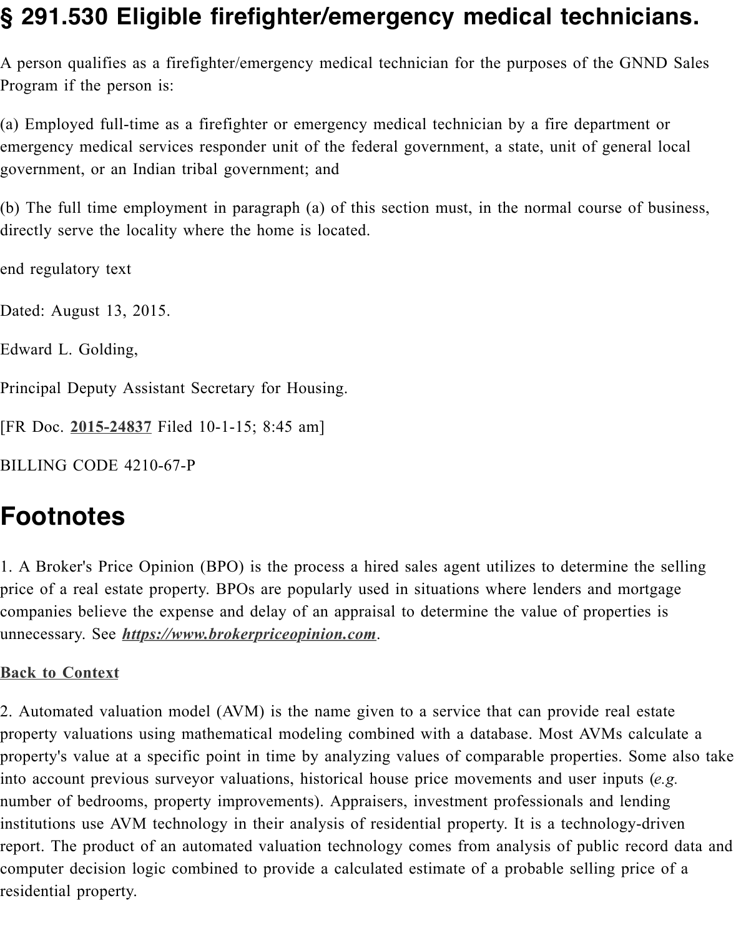$(w)$  Employed full-time as a firefighter or emergency medical technician by a fire department emergency medical services responder unit of the federal government, a state, unit of gene government, or an Indian tribal government; and

(b) The full time employment in paragraph (a) of this section must, in the normal course directly serve the locality where the home is located.

end regulatory text

Dated: August 13, 2015.

Edward L. Golding,

Principal Deputy Assistant Secretary for Housing.

[FR Doc. **2015-24837** Filed 10-1-15; 8:45 am]

BILLING CODE 4210-67-P

## **Footnotes**

1. A Brok[er's Price Op](https://www.federalregister.gov/a/2015-24837)inion (BPO) is the process a hired sales agent utilizes to determine price of a real estate property. BPOs are popularly used in situations where lenders and n companies believe the expense and delay of an appraisal to determine the value of proper unnecessary. See *https://www.brokerpriceopinion.com*.

#### **Back to Context**

2. Automated valuation model (AVM) is the name given to a service that can provide rea property valuations using mathematical modeling combined with a database. Most AVMs property's value [at a specific point in time by analyzin](https://www.brokerpriceopinion.com/)g values of comparable properties. into account previous surveyor valuations, historical house price movements and user inp [number of bedroo](https://www.federalregister.gov/articles/2015/10/02/2015-24837/disposition-of-hud-acquired-single-family-properties-updating-huds-single-family-property#citation-1)ms, property improvements). Appraisers, investment professionals and l institutions use AVM technology in their analysis of residential property. It is a technolog report. The product of an automated valuation technology comes from analysis of public computer decision logic combined to provide a calculated estimate of a probable selling price of a residential property.